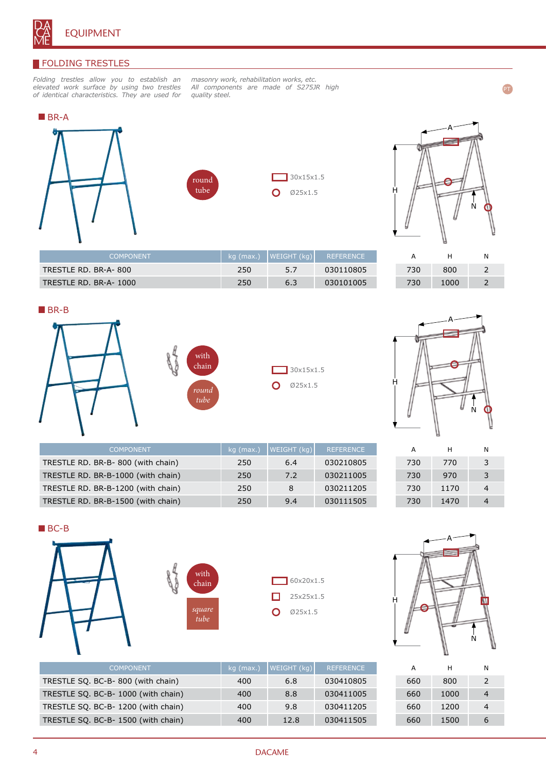

## **FOLDING TRESTLES**

*Folding trestles allow you to establish an elevated work surface by using two trestles of identical characteristics. They are used for* 

*masonry work, rehabilitation works, etc. All components are made of S275JR high quality steel.*





TRESTLE RD. BR-A- 800 250 3.7 030110805 TRESTLE RD. BR-A- 1000 250 250 6.3 030101005

COMPONENT kg (max.) WEIGHT (kg) REFERENCE



| Ĥ |        |
|---|--------|
|   | Ņ<br>٥ |
|   |        |

PT

| А   | н    | N |
|-----|------|---|
| 730 | 800  | 2 |
| 730 | 1000 | 2 |









| <b>COMPONENT</b>                   | kg (max.) | WEIGHT (kg) | <b>REFERENCE</b> |
|------------------------------------|-----------|-------------|------------------|
| TRESTLE RD. BR-B-800 (with chain)  | 250       | 6.4         | 030210805        |
| TRESTLE RD. BR-B-1000 (with chain) | 250       | 7.2         | 030211005        |
| TRESTLE RD. BR-B-1200 (with chain) | 250       | 8           | 030211205        |
| TRESTLE RD. BR-B-1500 (with chain) | 250       | 9.4         | 030111505        |

| А   | н    | Ν |
|-----|------|---|
| 730 | 770  | 3 |
| 730 | 970  | 3 |
| 730 | 1170 | 4 |
| 730 | 1470 | 4 |





| А   | н    | N |
|-----|------|---|
| 660 | 800  | 2 |
| 660 | 1000 | 4 |
| 660 | 1200 | 4 |
| 660 | 1500 | 6 |

| <b>COMPONENT</b>                    | $kg$ (max.) | WEIGHT (kg) | <b>REFERENCE</b> |
|-------------------------------------|-------------|-------------|------------------|
| TRESTLE SQ. BC-B-800 (with chain)   | 400         | 6.8         | 030410805        |
| TRESTLE SQ. BC-B- 1000 (with chain) | 400         | 8.8         | 030411005        |
| TRESTLE SQ. BC-B-1200 (with chain)  | 400         | 9.8         | 030411205        |
| TRESTLE SQ. BC-B- 1500 (with chain) | 400         | 12.8        | 030411505        |
|                                     |             |             |                  |

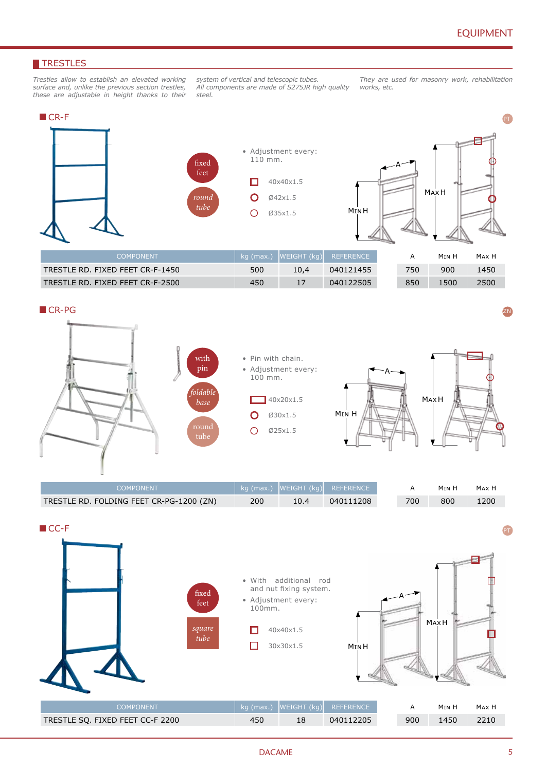## **TRESTLES**

*Trestles allow to establish an elevated working surface and, unlike the previous section trestles, these are adjustable in height thanks to their* 

*system of vertical and telescopic tubes. All components are made of S275JR high quality steel.*

*They are used for masonry work, rehabilitation works, etc.* 



| :OMPONENT                        |     |      | kg (max.)  WEIGHT (kg)  REFERENCE |     | Min H | MAX F |
|----------------------------------|-----|------|-----------------------------------|-----|-------|-------|
| TRESTLE RD. FIXED FEET CR-F-1450 | 500 | 10.4 | 040121455                         | 750 | 900   | 1450  |
| TRESTLE RD. FIXED FEET CR-F-2500 | 450 |      | 040122505                         | 850 | 1500  | 2500  |



ZN



| COMPONENT                                |     |      | $\log$ (max.) WEIGHT (kg) REFERENCE |     | M <sub>IN</sub> H | Max H |
|------------------------------------------|-----|------|-------------------------------------|-----|-------------------|-------|
| TRESTLE RD. FOLDING FEET CR-PG-1200 (ZN) | 200 | 10.4 | 040111208                           | 700 | 800               | 1200  |

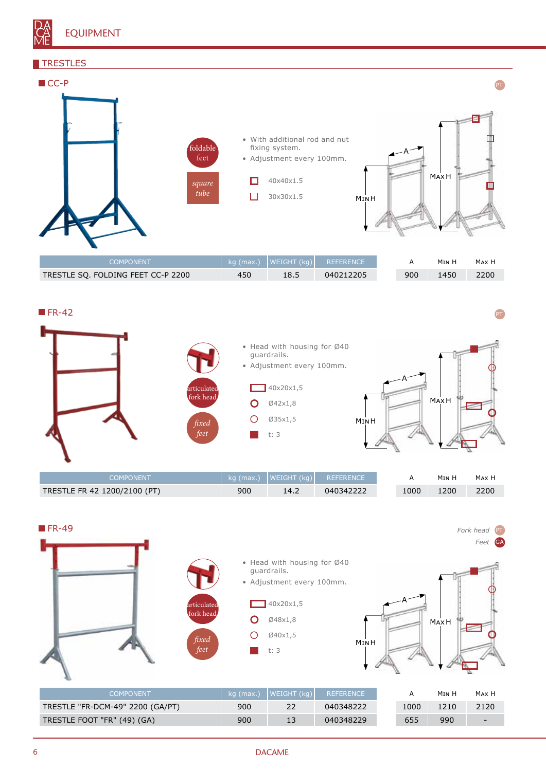

#### **TRESTLES**



| TRESTLE SQ. FOLDING FEET CC-P 2200 | 450 | 18.5 | 040212205 | 900 | 1450 | 2200 |
|------------------------------------|-----|------|-----------|-----|------|------|
|                                    |     |      |           |     |      |      |



| COMPONENT                    |     | kg (max.) $ WEIGHT (kg) $ | REFERENCE |      | M <sub>IN</sub> H | Max H |
|------------------------------|-----|---------------------------|-----------|------|-------------------|-------|
| TRESTLE FR 42 1200/2100 (PT) | 900 | 14.2                      | 040342222 | 1000 | 1200              | 2200  |



## 6 DACAME